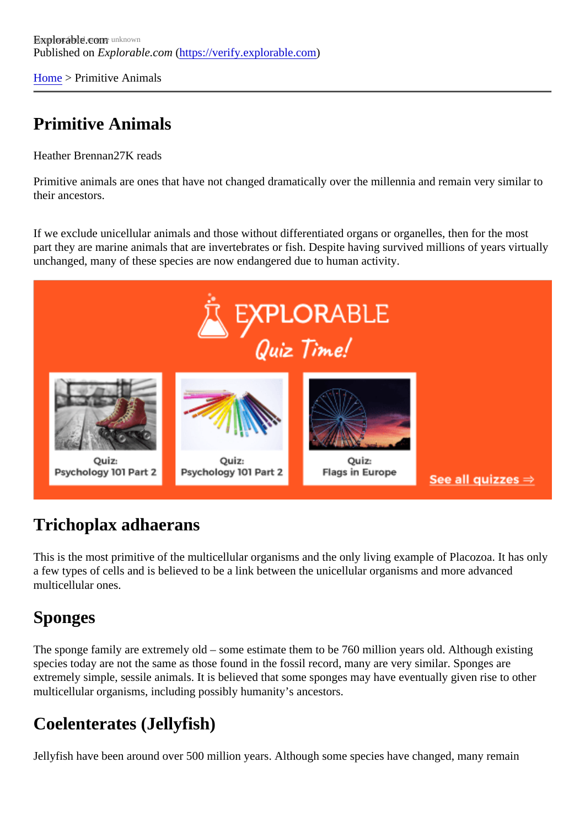[Home](https://verify.explorable.com/) > Primitive Animals

## Primitive Animals

Heather Brennar<sub>7</sub>K reads

Primitive animals are ones that have not changed dramatically over the millennia and remain very similar to their ancestors.

If we exclude unicellular animals and those without differentiated organs or organelles, then for the most part they are marine animals that are invertebrates or fish. Despite having survived millions of years virtual unchanged, many of these species are now endangered due to human activity.

#### Trichoplax adhaerans

This is the most primitive of the multicellular organisms and the only living example of Placozoa. It has only a few types of cells and is believed to be a link between the unicellular organisms and more advanced multicellular ones.

# Sponges

The sponge family are extremely old – some estimate them to be 760 million years old. Although existing species today are not the same as those found in the fossil record, many are very similar. Sponges are extremely simple, sessile animals. It is believed that some sponges may have eventually given rise to other multicellular organisms, including possibly humanity's ancestors.

# Coelenterates (Jellyfish)

Jellyfish have been around over 500 million years. Although some species have changed, many remain